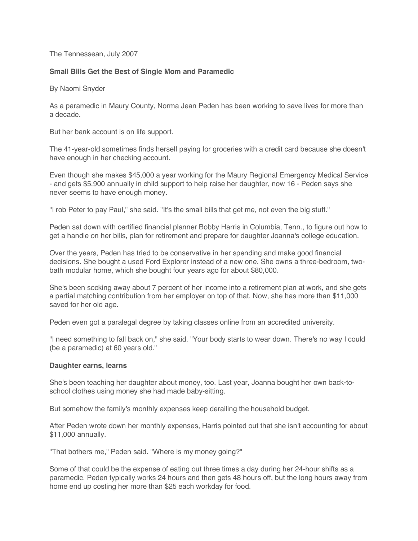# The Tennessean, July 2007

# **Small Bills Get the Best of Single Mom and Paramedic**

By Naomi Snyder

As a paramedic in Maury County, Norma Jean Peden has been working to save lives for more than a decade.

But her bank account is on life support.

The 41-year-old sometimes finds herself paying for groceries with a credit card because she doesn't have enough in her checking account.

Even though she makes \$45,000 a year working for the Maury Regional Emergency Medical Service - and gets \$5,900 annually in child support to help raise her daughter, now 16 - Peden says she never seems to have enough money.

"I rob Peter to pay Paul," she said. "It's the small bills that get me, not even the big stuff."

Peden sat down with certified financial planner Bobby Harris in Columbia, Tenn., to figure out how to get a handle on her bills, plan for retirement and prepare for daughter Joanna's college education.

Over the years, Peden has tried to be conservative in her spending and make good financial decisions. She bought a used Ford Explorer instead of a new one. She owns a three-bedroom, twobath modular home, which she bought four years ago for about \$80,000.

She's been socking away about 7 percent of her income into a retirement plan at work, and she gets a partial matching contribution from her employer on top of that. Now, she has more than \$11,000 saved for her old age.

Peden even got a paralegal degree by taking classes online from an accredited university.

"I need something to fall back on," she said. "Your body starts to wear down. There's no way I could (be a paramedic) at 60 years old."

#### **Daughter earns, learns**

She's been teaching her daughter about money, too. Last year, Joanna bought her own back-toschool clothes using money she had made baby-sitting.

But somehow the family's monthly expenses keep derailing the household budget.

After Peden wrote down her monthly expenses, Harris pointed out that she isn't accounting for about \$11,000 annually.

"That bothers me," Peden said. "Where is my money going?"

Some of that could be the expense of eating out three times a day during her 24-hour shifts as a paramedic. Peden typically works 24 hours and then gets 48 hours off, but the long hours away from home end up costing her more than \$25 each workday for food.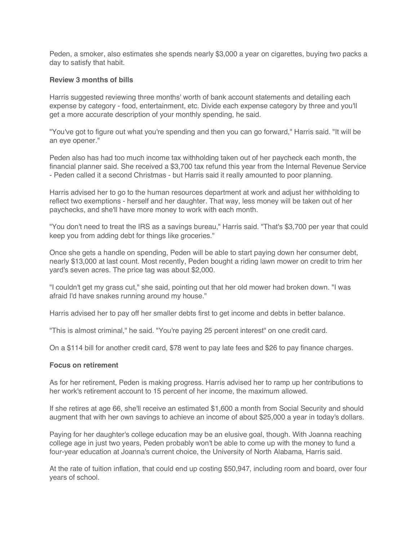Peden, a smoker, also estimates she spends nearly \$3,000 a year on cigarettes, buying two packs a day to satisfy that habit.

## **Review 3 months of bills**

Harris suggested reviewing three months' worth of bank account statements and detailing each expense by category - food, entertainment, etc. Divide each expense category by three and you'll get a more accurate description of your monthly spending, he said.

"You've got to figure out what you're spending and then you can go forward," Harris said. "It will be an eye opener."

Peden also has had too much income tax withholding taken out of her paycheck each month, the financial planner said. She received a \$3,700 tax refund this year from the Internal Revenue Service - Peden called it a second Christmas - but Harris said it really amounted to poor planning.

Harris advised her to go to the human resources department at work and adjust her withholding to reflect two exemptions - herself and her daughter. That way, less money will be taken out of her paychecks, and she'll have more money to work with each month.

"You don't need to treat the IRS as a savings bureau," Harris said. "That's \$3,700 per year that could keep you from adding debt for things like groceries."

Once she gets a handle on spending, Peden will be able to start paying down her consumer debt, nearly \$13,000 at last count. Most recently, Peden bought a riding lawn mower on credit to trim her yard's seven acres. The price tag was about \$2,000.

"I couldn't get my grass cut," she said, pointing out that her old mower had broken down. "I was afraid I'd have snakes running around my house."

Harris advised her to pay off her smaller debts first to get income and debts in better balance.

"This is almost criminal," he said. "You're paying 25 percent interest" on one credit card.

On a \$114 bill for another credit card, \$78 went to pay late fees and \$26 to pay finance charges.

#### **Focus on retirement**

As for her retirement, Peden is making progress. Harris advised her to ramp up her contributions to her work's retirement account to 15 percent of her income, the maximum allowed.

If she retires at age 66, she'll receive an estimated \$1,600 a month from Social Security and should augment that with her own savings to achieve an income of about \$25,000 a year in today's dollars.

Paying for her daughter's college education may be an elusive goal, though. With Joanna reaching college age in just two years, Peden probably won't be able to come up with the money to fund a four-year education at Joanna's current choice, the University of North Alabama, Harris said.

At the rate of tuition inflation, that could end up costing \$50,947, including room and board, over four years of school.